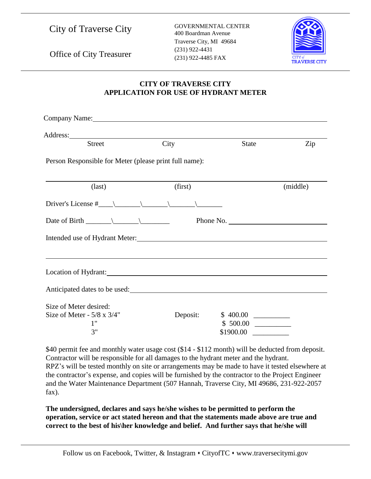|  |  | <b>City of Traverse City</b> |  |
|--|--|------------------------------|--|
|--|--|------------------------------|--|

GOVERNMENTAL CENTER 400 Boardman Avenue Traverse City, MI 49684 (231) 922-4485 FAX



Office of City Treasurer (231) 922-4431

## **CITY OF TRAVERSE CITY APPLICATION FOR USE OF HYDRANT METER**

| Company Name: Name: Name: Name: Name: Name: Name: Name: Name: Name: Name: Name: Name: Name: Name: Name: Name: Name: Name: Name: Name: Name: Name: Name: Name: Name: Name: Name: Name: Name: Name: Name: Name: Name: Name: Name         |          |              |          |
|----------------------------------------------------------------------------------------------------------------------------------------------------------------------------------------------------------------------------------------|----------|--------------|----------|
|                                                                                                                                                                                                                                        |          |              |          |
| <b>Street</b>                                                                                                                                                                                                                          | City     | <b>State</b> | Zip      |
| Person Responsible for Meter (please print full name):                                                                                                                                                                                 |          |              |          |
| $\text{(last)}$                                                                                                                                                                                                                        | (first)  |              | (middle) |
|                                                                                                                                                                                                                                        |          |              |          |
| Date of Birth $\_\_\_\_\_\_\_\$                                                                                                                                                                                                        |          | Phone No.    |          |
|                                                                                                                                                                                                                                        |          |              |          |
| Location of Hydrant: Manual Contract Contract Contract Contract Contract Contract Contract Contract Contract Contract Contract Contract Contract Contract Contract Contract Contract Contract Contract Contract Contract Contr         |          |              |          |
| Anticipated dates to be used:<br><u>International contract of the set of the set of the set of the set of the set of the set of the set of the set of the set of the set of the set of the set of the set of the set of the set of</u> |          |              |          |
| Size of Meter desired:<br>Size of Meter - $5/8 \times 3/4$ "<br>1"<br>3"                                                                                                                                                               | Deposit: | \$1900.00    |          |

\$40 permit fee and monthly water usage cost (\$14 - \$112 month) will be deducted from deposit. Contractor will be responsible for all damages to the hydrant meter and the hydrant. RPZ's will be tested monthly on site or arrangements may be made to have it tested elsewhere at the contractor's expense, and copies will be furnished by the contractor to the Project Engineer and the Water Maintenance Department (507 Hannah, Traverse City, MI 49686, 231-922-2057 fax).

**The undersigned, declares and says he/she wishes to be permitted to perform the operation, service or act stated hereon and that the statements made above are true and correct to the best of his\her knowledge and belief. And further says that he/she will**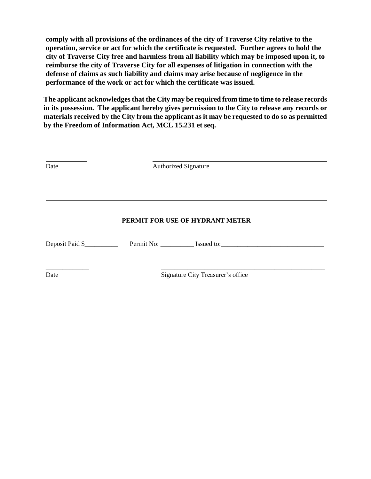**comply with all provisions of the ordinances of the city of Traverse City relative to the operation, service or act for which the certificate is requested. Further agrees to hold the city of Traverse City free and harmless from all liability which may be imposed upon it, to reimburse the city of Traverse City for all expenses of litigation in connection with the defense of claims as such liability and claims may arise because of negligence in the performance of the work or act for which the certificate was issued.**

**The applicant acknowledges that the City may be required from time to time to release records in its possession. The applicant hereby gives permission to the City to release any records or materials received by the City from the applicant as it may be requested to do so as permitted by the Freedom of Information Act, MCL 15.231 et seq.**

| Date            | <b>Authorized Signature</b>                                                                                                                                                                                                         |  |  |  |
|-----------------|-------------------------------------------------------------------------------------------------------------------------------------------------------------------------------------------------------------------------------------|--|--|--|
|                 |                                                                                                                                                                                                                                     |  |  |  |
|                 | PERMIT FOR USE OF HYDRANT METER                                                                                                                                                                                                     |  |  |  |
| Deposit Paid \$ | Permit No: <u>Samuel Issued to:</u> Samuel Lissued to: Samuel Lissued to: Samuel Lissued to: Samuel Lissued to: Samuel Lissued to: Samuel Lissued to: Samuel Lissued to: Samuel Lissued to: Samuel Lissued to: Samuel Lissued to: S |  |  |  |
| Date            | Signature City Treasurer's office                                                                                                                                                                                                   |  |  |  |